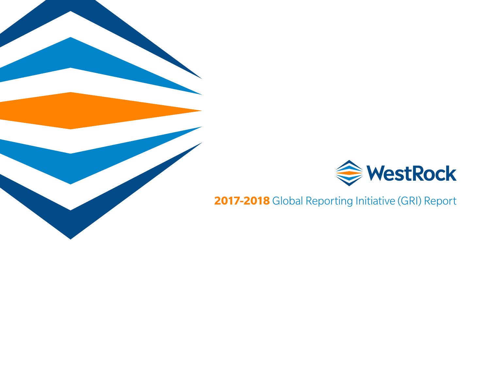

**2017-2018** Global Reporting Initiative (GRI) Report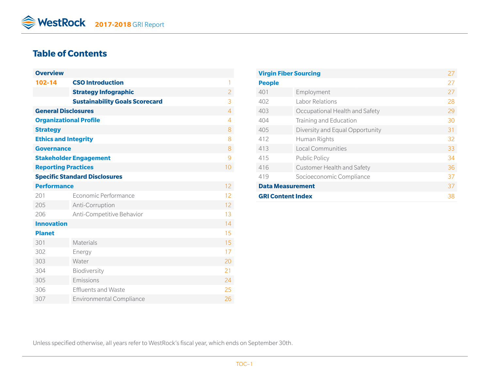# **Table of Contents**

| <b>Overview</b>               |                                       |                |
|-------------------------------|---------------------------------------|----------------|
| 102-14                        | <b>CSO Introduction</b>               | 1              |
|                               | <b>Strategy Infographic</b>           | $\overline{2}$ |
|                               | <b>Sustainability Goals Scorecard</b> | 3              |
| <b>General Disclosures</b>    |                                       | 4              |
| <b>Organizational Profile</b> |                                       | $\overline{4}$ |
| <b>Strategy</b>               |                                       | 8              |
| <b>Ethics and Integrity</b>   |                                       | 8              |
| <b>Governance</b>             |                                       | 8              |
|                               | <b>Stakeholder Engagement</b>         | 9              |
| <b>Reporting Practices</b>    |                                       | 10             |
|                               | <b>Specific Standard Disclosures</b>  |                |
| <b>Performance</b>            |                                       | 12             |
| 201                           | Economic Performance                  | 12             |
| 205                           | Anti-Corruption                       | 12             |
| 206                           | Anti-Competitive Behavior             | 13             |
| <b>Innovation</b>             |                                       | 14             |
| <b>Planet</b>                 |                                       | 15             |
| 301                           | Materials                             | 15             |
| 302                           | Energy                                | 17             |
| 303                           | Water                                 | 20             |
| 304                           | Biodiversity                          | 21             |
| 305                           | Emissions                             | 24             |
| 306                           | <b>Effluents and Waste</b>            | 25             |
| 307                           | <b>Environmental Compliance</b>       | 26             |

|                          | <b>Virgin Fiber Sourcing</b>    |    |
|--------------------------|---------------------------------|----|
| <b>People</b>            |                                 | 27 |
| 401                      | Employment                      | 27 |
| 402                      | Labor Relations                 | 28 |
| 403                      | Occupational Health and Safety  | 29 |
| 404                      | Training and Education          | 30 |
| 405                      | Diversity and Equal Opportunity | 31 |
| 412                      | Human Rights                    | 32 |
| 413                      | Local Communities               | 33 |
| 415                      | Public Policy                   | 34 |
| 416                      | Customer Health and Safety      | 36 |
| 419                      | Socioeconomic Compliance        | 37 |
| <b>Data Measurement</b>  |                                 | 37 |
| <b>GRI Content Index</b> |                                 |    |

Unless specified otherwise, all years refer to WestRock's fiscal year, which ends on September 30th.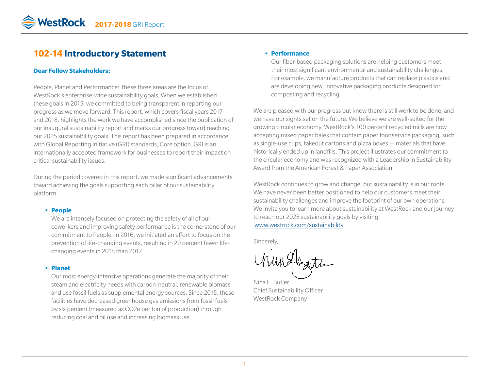# **102-14 Introductory Statement**

#### **Dear Fellow Stakeholders:**

People, Planet and Performance: these three areas are the focus of WestRock's enterprise-wide sustainability goals*.* When we established these goals in 2015, we committed to being transparent in reporting our progress as we move forward*.* This report, which covers fiscal years 2017 and 2018, highlights the work we have accomplished since the publication of our inaugural sustainability report and marks our progress toward reaching our 2025 sustainability goals*.* This report has been prepared in accordance with Global Reporting Initiative (GRI) standards, Core option*.* GRI is an internationally accepted framework for businesses to report their impact on critical sustainability issues.

During the period covered in this report, we made significant advancements toward achieving the goals supporting each pillar of our sustainability platform*.* 

#### **• People**

We are intensely focused on protecting the safety of all of our coworkers and improving safety performance is the cornerstone of our commitment to People. In 2016, we initiated an effort to focus on the prevention of life-changing events, resulting in 20 percent fewer lifechanging events in 2018 than 2017*.* 

#### **• Planet**

Our most energy-intensive operations generate the majority of their steam and electricity needs with carbon-neutral, renewable biomass and use fossil fuels as supplemental energy sources. Since 2015, these facilities have decreased greenhouse gas emissions from fossil fuels by six percent (measured as CO2e per ton of production) through reducing coal and oil use and increasing biomass use.

#### **• Performance**

Our fiber-based packaging solutions are helping customers meet their most significant environmental and sustainability challenges*.*  For example, we manufacture products that can replace plastics and are developing new, innovative packaging products designed for composting and recycling.

We are pleased with our progress but know there is still work to be done, and we have our sights set on the future. We believe we are well-suited for the growing circular economy. WestRock's 100 percent recycled mills are now accepting mixed paper bales that contain paper foodservice packaging, such as single-use cups, takeout cartons and pizza boxes — materials that have historically ended up in landfills. This project illustrates our commitment to the circular economy and was recognized with a Leadership in Sustainability Award from the American Forest & Paper Association.

WestRock continues to grow and change, but sustainability is in our roots. We have never been better positioned to help our customers meet their sustainability challenges and improve the footprint of our own operations. We invite you to learn more about sustainability at WestRock and our journey to reach our 2025 sustainability goals by visiting [www.westrock.com/sustainability.](www.westrock.com/sustainability)

Sincerely,

Um Hazita

Nina E. Butler Chief Sustainability Officer WestRock Company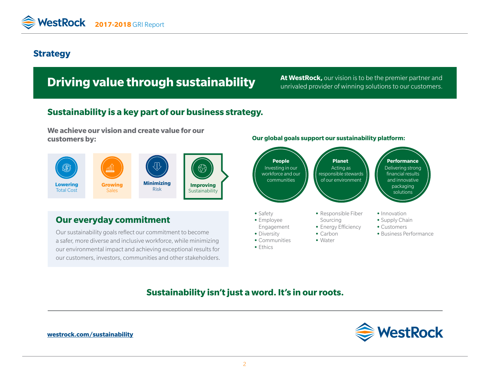# **Strategy**

# **Driving value through sustainability** At WestRock, our vision is to be the premier partner and **Driving Solutions to our customers.**

unrivaled provider of winning solutions to our customers.

# **Sustainability is a key part of our business strategy.**

**We achieve our vision and create value for our customers by:**



# **Our everyday commitment •** Safety **•** Safety

Our sustainability goals reflect our commitment to become a safer, more diverse and inclusive workforce, while minimizing our environmental impact and achieving exceptional results for our customers, investors, communities and other stakeholders.

#### **Our global goals support our sustainability platform:**



# **Sustainability isn't just a word. It's in our roots.**



**[westrock.com/sustainability](https://www.westrock.com/sustainability)**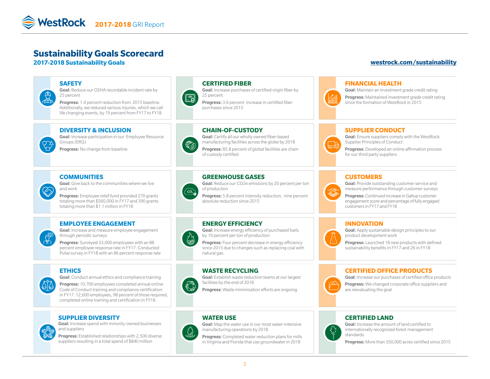# **Sustainability Goals Scorecard**

#### **2017-2018 Sustainability Goals [westrock.com/sustainability](https://www.westrock.com/sustainability)**





Goal: Conduct annual ethics and compliance training Progress: 10,700 employees completed annual online Code of Conduct training and compliance certification in FY17. 12,600 employees, 98 percent of those required, completed online training and certification in FY18.

#### **SUPPLIER DIVERSITY**

Goal: Increase spend with minority-owned businesses and suppliers



Progress: Established relationships with 2,500 diverse suppliers resulting in a total spend of \$840 million

Goal: Establish waste reduction teams at our largest facilities by the end of 2018

Progress: Waste minimization efforts are ongoing

#### **WATER USE**



Goal: Map the water use in our most water-intensive manufacturing operations by 2018

Progress: Completed water reduction plans for mills in Virginia and Florida that use groundwater in 2018

#### **CERTIFIED LAND**

are reevaluating the goal



Goal: Increase the amount of land certified to internationally recognized forest management standards

Progress: More than 350,000 acres certified since 2015

Progress: We changed corporate office suppliers and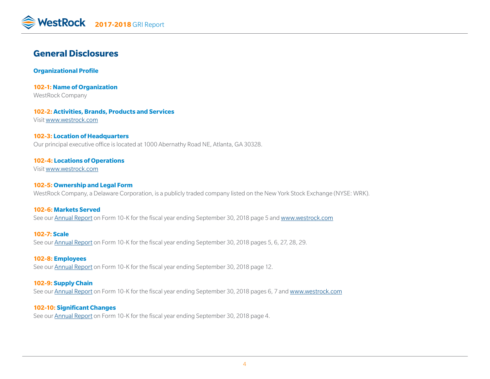# **General Disclosures**

**Organizational Profile** 

**102-1: Name of Organization** WestRock Company

**102-2: Activities, Brands, Products and Services** Visit [www.westrock.com](http://www.westrock.com/en/company)

#### **102-3: Location of Headquarters** Our principal executive office is located at 1000 Abernathy Road NE, Atlanta, GA 30328.

#### **102-4: Locations of Operations**

Visit [www.westrock.co](http://www.westrock.com/en/company)m

#### **102-5: Ownership and Legal Form**

WestRock Company, a Delaware Corporation, is a publicly traded company listed on the New York Stock Exchange (NYSE: WRK).

#### **102-6: Markets Served**

See our [Annual Report](http://ir.westrock.com/reports-and-filings/annual-reports/default.aspx) on Form 10-K for the fiscal year ending September 30, 2018 page 5 and [www.westrock.com](www.westrock.com/en/products)

**102-7: Scale** See our [Annual Report](http://ir.westrock.com/reports-and-filings/annual-reports/default.aspx) on Form 10-K for the fiscal year ending September 30, 2018 pages 5, 6, 27, 28, 29.

#### **102-8: Employees**

See our [Annual Report](http://ir.westrock.com/reports-and-filings/annual-reports/default.aspx) on Form 10-K for the fiscal year ending September 30, 2018 page 12.

#### **102-9: Supply Chain**

See our [Annual Report](http://ir.westrock.com/reports-and-filings/annual-reports/default.aspx) on Form 10-K for the fiscal year ending September 30, 2018 pages 6, 7 and [www.westrock.com](www.westrock.com/en/supplier-resources)

#### **102-10: Significant Changes**

See our [Annual Report](http://ir.westrock.com/reports-and-filings/annual-reports/default.aspx) on Form 10-K for the fiscal year ending September 30, 2018 page 4.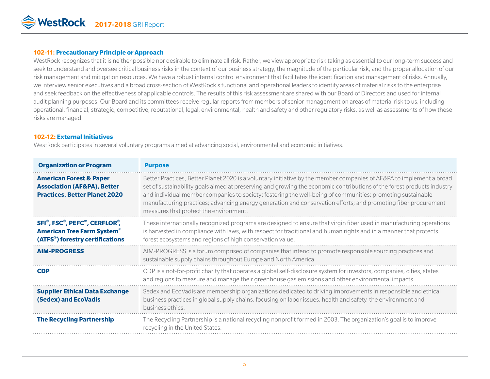

#### **102-11: Precautionary Principle or Approach**

WestRock recognizes that it is neither possible nor desirable to eliminate all risk. Rather, we view appropriate risk taking as essential to our long-term success and seek to understand and oversee critical business risks in the context of our business strategy, the magnitude of the particular risk, and the proper allocation of our risk management and mitigation resources. We have a robust internal control environment that facilitates the identification and management of risks. Annually, we interview senior executives and a broad cross-section of WestRock's functional and operational leaders to identify areas of material risks to the enterprise and seek feedback on the effectiveness of applicable controls. The results of this risk assessment are shared with our Board of Directors and used for internal audit planning purposes. Our Board and its committees receive regular reports from members of senior management on areas of material risk to us, including operational, financial, strategic, competitive, reputational, legal, environmental, health and safety and other regulatory risks, as well as assessments of how these risks are managed.

#### **102-12: External Initiatives**

WestRock participates in several voluntary programs aimed at advancing social, environmental and economic initiatives.

| <b>Organization or Program</b>                                                                                                                           | <b>Purpose</b>                                                                                                                                                                                                                                                                                                                                                                                                                                                                                                           |
|----------------------------------------------------------------------------------------------------------------------------------------------------------|--------------------------------------------------------------------------------------------------------------------------------------------------------------------------------------------------------------------------------------------------------------------------------------------------------------------------------------------------------------------------------------------------------------------------------------------------------------------------------------------------------------------------|
| <b>American Forest &amp; Paper</b><br><b>Association (AF&amp;PA), Better</b><br><b>Practices, Better Planet 2020</b>                                     | Better Practices, Better Planet 2020 is a voluntary initiative by the member companies of AF&PA to implement a broad<br>set of sustainability goals aimed at preserving and growing the economic contributions of the forest products industry<br>and individual member companies to society; fostering the well-being of communities; promoting sustainable<br>manufacturing practices; advancing energy generation and conservation efforts; and promoting fiber procurement<br>measures that protect the environment. |
| SFI <sup>®</sup> , FSC <sup>®</sup> , PEFC™, CERFLOR <sup>®</sup> ,<br><b>American Tree Farm System®</b><br>(ATFS <sup>®</sup> ) forestry certifications | These internationally recognized programs are designed to ensure that virgin fiber used in manufacturing operations<br>is harvested in compliance with laws, with respect for traditional and human rights and in a manner that protects<br>forest ecosystems and regions of high conservation value.                                                                                                                                                                                                                    |
| <b>AIM-PROGRESS</b>                                                                                                                                      | AIM-PROGRESS is a forum comprised of companies that intend to promote responsible sourcing practices and<br>sustainable supply chains throughout Europe and North America.                                                                                                                                                                                                                                                                                                                                               |
| <b>CDP</b>                                                                                                                                               | CDP is a not-for-profit charity that operates a global self-disclosure system for investors, companies, cities, states<br>and regions to measure and manage their greenhouse gas emissions and other environmental impacts.                                                                                                                                                                                                                                                                                              |
| <b>Supplier Ethical Data Exchange</b><br>(Sedex) and EcoVadis                                                                                            | Sedex and EcoVadis are membership organizations dedicated to driving improvements in responsible and ethical<br>business practices in global supply chains, focusing on labor issues, health and safety, the environment and<br>business ethics.                                                                                                                                                                                                                                                                         |
| <b>The Recycling Partnership</b>                                                                                                                         | The Recycling Partnership is a national recycling nonprofit formed in 2003. The organization's goal is to improve<br>recycling in the United States.                                                                                                                                                                                                                                                                                                                                                                     |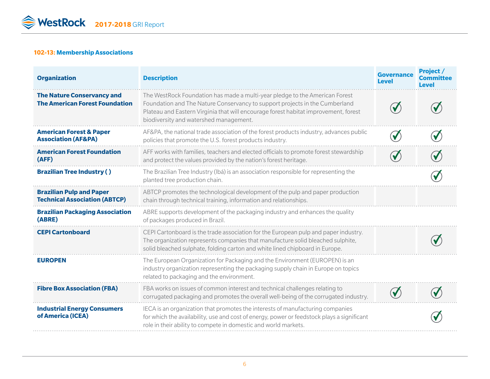#### **102-13: Membership Associations**

| <b>Organization</b>                                                        | <b>Description</b>                                                                                                                                                                                                                                                                          | <b>Governance</b><br>Level | Project /<br><b>Committee</b><br><b>Level</b> |
|----------------------------------------------------------------------------|---------------------------------------------------------------------------------------------------------------------------------------------------------------------------------------------------------------------------------------------------------------------------------------------|----------------------------|-----------------------------------------------|
| <b>The Nature Conservancy and</b><br><b>The American Forest Foundation</b> | The WestRock Foundation has made a multi-year pledge to the American Forest<br>Foundation and The Nature Conservancy to support projects in the Cumberland<br>Plateau and Eastern Virginia that will encourage forest habitat improvement, forest<br>biodiversity and watershed management. |                            |                                               |
| <b>American Forest &amp; Paper</b><br><b>Association (AF&amp;PA)</b>       | AF&PA, the national trade association of the forest products industry, advances public<br>policies that promote the U.S. forest products industry.                                                                                                                                          |                            |                                               |
| <b>American Forest Foundation</b><br>(AFF)                                 | AFF works with families, teachers and elected officials to promote forest stewardship<br>and protect the values provided by the nation's forest heritage.                                                                                                                                   |                            |                                               |
| <b>Brazilian Tree Industry ()</b>                                          | The Brazilian Tree Industry (Ibá) is an association responsible for representing the<br>planted tree production chain.                                                                                                                                                                      |                            |                                               |
| <b>Brazilian Pulp and Paper</b><br><b>Technical Association (ABTCP)</b>    | ABTCP promotes the technological development of the pulp and paper production<br>chain through technical training, information and relationships.                                                                                                                                           |                            |                                               |
| <b>Brazilian Packaging Association</b><br>(ABRE)                           | ABRE supports development of the packaging industry and enhances the quality<br>of packages produced in Brazil.                                                                                                                                                                             |                            |                                               |
| <b>CEPI Cartonboard</b>                                                    | CEPI Cartonboard is the trade association for the European pulp and paper industry.<br>The organization represents companies that manufacture solid bleached sulphite,<br>solid bleached sulphate, folding carton and white lined chipboard in Europe.                                      |                            |                                               |
| <b>EUROPEN</b>                                                             | The European Organization for Packaging and the Environment (EUROPEN) is an<br>industry organization representing the packaging supply chain in Europe on topics<br>related to packaging and the environment.                                                                               |                            |                                               |
| <b>Fibre Box Association (FBA)</b>                                         | FBA works on issues of common interest and technical challenges relating to<br>corrugated packaging and promotes the overall well-being of the corrugated industry.                                                                                                                         |                            |                                               |
| <b>Industrial Energy Consumers</b><br>of America (ICEA)                    | IECA is an organization that promotes the interests of manufacturing companies<br>for which the availability, use and cost of energy, power or feedstock plays a significant<br>role in their ability to compete in domestic and world markets.                                             |                            |                                               |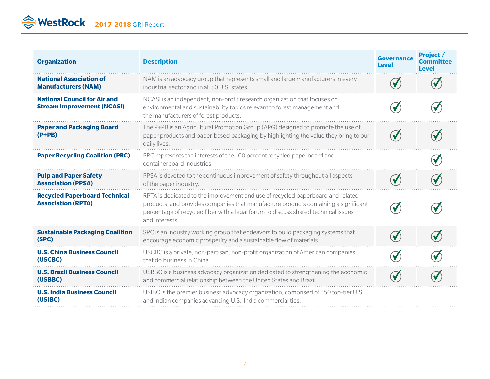WestRock 2017-2018 GRI Report

| <b>Organization</b>                                                      | <b>Description</b>                                                                                                                                                                                                                                                             | <b>Governance</b><br><b>Level</b> | Project /<br><b>Committee</b><br><b>Level</b> |
|--------------------------------------------------------------------------|--------------------------------------------------------------------------------------------------------------------------------------------------------------------------------------------------------------------------------------------------------------------------------|-----------------------------------|-----------------------------------------------|
| <b>National Association of</b><br><b>Manufacturers (NAM)</b>             | NAM is an advocacy group that represents small and large manufacturers in every<br>industrial sector and in all 50 U.S. states.                                                                                                                                                |                                   |                                               |
| <b>National Council for Air and</b><br><b>Stream Improvement (NCASI)</b> | NCASI is an independent, non-profit research organization that focuses on<br>environmental and sustainability topics relevant to forest management and<br>the manufacturers of forest products.                                                                                |                                   |                                               |
| <b>Paper and Packaging Board</b><br>$(P+PB)$                             | The P+PB is an Agricultural Promotion Group (APG) designed to promote the use of<br>paper products and paper-based packaging by highlighting the value they bring to our<br>daily lives.                                                                                       | $\blacklozenge$                   |                                               |
| <b>Paper Recycling Coalition (PRC)</b>                                   | PRC represents the interests of the 100 percent recycled paperboard and<br>containerboard industries.                                                                                                                                                                          |                                   |                                               |
| <b>Pulp and Paper Safety</b><br><b>Association (PPSA)</b>                | PPSA is devoted to the continuous improvement of safety throughout all aspects<br>of the paper industry.                                                                                                                                                                       |                                   |                                               |
| <b>Recycled Paperboard Technical</b><br><b>Association (RPTA)</b>        | RPTA is dedicated to the improvement and use of recycled paperboard and related<br>products, and provides companies that manufacture products containing a significant<br>percentage of recycled fiber with a legal forum to discuss shared technical issues<br>and interests. |                                   |                                               |
| <b>Sustainable Packaging Coalition</b><br>(SPC)                          | SPC is an industry working group that endeavors to build packaging systems that<br>encourage economic prosperity and a sustainable flow of materials.                                                                                                                          |                                   |                                               |
| <b>U.S. China Business Council</b><br>(USCBC)                            | USCBC is a private, non-partisan, non-profit organization of American companies<br>that do business in China.                                                                                                                                                                  |                                   |                                               |
| <b>U.S. Brazil Business Council</b><br>(USBBC)                           | USBBC is a business advocacy organization dedicated to strengthening the economic<br>and commercial relationship between the United States and Brazil.                                                                                                                         |                                   |                                               |
| <b>U.S. India Business Council</b><br>(USIBC)                            | USIBC is the premier business advocacy organization, comprised of 350 top-tier U.S.<br>and Indian companies advancing U.S.-India commercial ties.                                                                                                                              |                                   |                                               |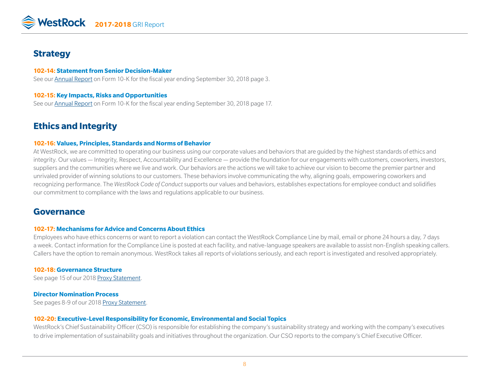

## **Strategy**

#### **102-14: Statement from Senior Decision-Maker**

See our [Annual Report](http://ir.westrock.com/reports-and-filings/annual-reports/default.aspx) on Form 10-K for the fiscal year ending September 30, 2018 page 3.

#### **102-15: Key Impacts, Risks and Opportunities**

See our [Annual Report](http://ir.westrock.com/reports-and-filings/annual-reports/default.aspx) on Form 10-K for the fiscal year ending September 30, 2018 page 17.

# **Ethics and Integrity**

#### **102-16: Values, Principles, Standards and Norms of Behavior**

At WestRock, we are committed to operating our business using our corporate values and behaviors that are guided by the highest standards of ethics and integrity. Our values — Integrity, Respect, Accountability and Excellence — provide the foundation for our engagements with customers, coworkers, investors, suppliers and the communities where we live and work. Our behaviors are the actions we will take to achieve our vision to become the premier partner and unrivaled provider of winning solutions to our customers. These behaviors involve communicating the why, aligning goals, empowering coworkers and recognizing performance. The *WestRock Code of Conduct* supports our values and behaviors, establishes expectations for employee conduct and solidifies our commitment to compliance with the laws and regulations applicable to our business.

### **Governance**

#### **102-17: Mechanisms for Advice and Concerns About Ethics**

Employees who have ethics concerns or want to report a violation can contact the WestRock Compliance Line by mail, email or phone 24 hours a day, 7 days a week. Contact information for the Compliance Line is posted at each facility, and native-language speakers are available to assist non-English speaking callers. Callers have the option to remain anonymous. WestRock takes all reports of violations seriously, and each report is investigated and resolved appropriately.

#### **102-18: Governance Structure**

See page 15 of our 2018 [Proxy Statement](http://s21.q4cdn.com/975972157/files/doc_financials/proxy/2018-Proxy-Final.pdf).

#### **Director Nomination Process**

See pages 8-9 of our 2018 [Proxy Statement](http://s21.q4cdn.com/975972157/files/doc_financials/proxy/2018-Proxy-Final.pdf).

#### **102-20: Executive-Level Responsibility for Economic, Environmental and Social Topics**

WestRock's Chief Sustainability Officer (CSO) is responsible for establishing the company's sustainability strategy and working with the company's executives to drive implementation of sustainability goals and initiatives throughout the organization. Our CSO reports to the company's Chief Executive Officer.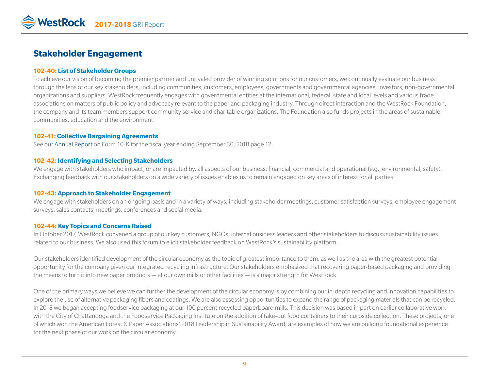# **Stakeholder Engagement**

#### **102-40: List of Stakeholder Groups**

To achieve our vision of becoming the premier partner and unrivaled provider of winning solutions for our customers, we continually evaluate our business through the lens of our key stakeholders, including communities, customers, employees, governments and governmental agencies, investors, non-governmental organizations and suppliers. WestRock frequently engages with governmental entities at the international, federal, state and local levels and various trade associations on matters of public policy and advocacy relevant to the paper and packaging industry. Through direct interaction and the WestRock Foundation, the company and its team members support community service and charitable organizations. The Foundation also funds projects in the areas of sustainable communities, education and the environment.

#### **102-41: Collective Bargaining Agreements**

See our [Annual Report](http://ir.westrock.com/reports-and-filings/annual-reports/default.aspx) on Form 10-K for the fiscal year ending September 30, 2018 page 12.

#### **102-42: Identifying and Selecting Stakeholders**

We engage with stakeholders who impact, or are impacted by, all aspects of our business: financial, commercial and operational (e.g., environmental, safety). Exchanging feedback with our stakeholders on a wide variety of issues enables us to remain engaged on key areas of interest for all parties.

#### **102-43: Approach to Stakeholder Engagement**

We engage with stakeholders on an ongoing basis and in a variety of ways, including stakeholder meetings, customer satisfaction surveys, employee engagement surveys, sales contacts, meetings, conferences and social media.

#### **102-44: Key Topics and Concerns Raised**

In October 2017, WestRock convened a group of our key customers, NGOs, internal business leaders and other stakeholders to discuss sustainability issues related to our business. We also used this forum to elicit stakeholder feedback on WestRock's sustainability platform.

Our stakeholders identified development of the circular economy as the topic of greatest importance to them, as well as the area with the greatest potential opportunity for the company given our integrated recycling infrastructure. Our stakeholders emphasized that recovering paper-based packaging and providing the means to turn it into new paper products — at our own mills or other facilities — is a major strength for WestRock.

One of the primary ways we believe we can further the development of the circular economy is by combining our in-depth recycling and innovation capabilities to explore the use of alternative packaging fibers and coatings. We are also assessing opportunities to expand the range of packaging materials that can be recycled. In 2018 we began accepting foodservice packaging at our 100 percent recycled paperboard mills. This decision was based in part on earlier collaborative work with the City of Chattanooga and the Foodservice Packaging Institute on the addition of take-out food containers to their curbside collection. These projects, one of which won the American Forest & Paper Associations' 2018 Leadership in Sustainability Award, are examples of how we are building foundational experience for the next phase of our work on the circular economy.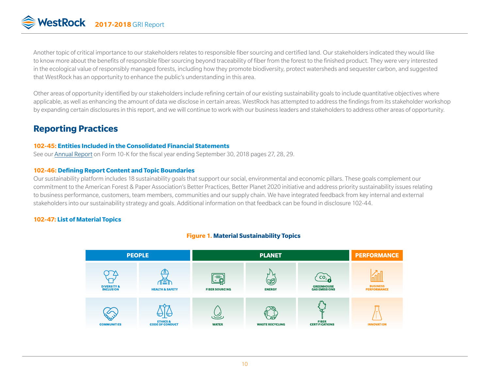# WestRock 2017-2018 GRI Report

Another topic of critical importance to our stakeholders relates to responsible fiber sourcing and certified land. Our stakeholders indicated they would like to know more about the benefits of responsible fiber sourcing beyond traceability of fiber from the forest to the finished product. They were very interested in the ecological value of responsibly managed forests, including how they promote biodiversity, protect watersheds and sequester carbon, and suggested that WestRock has an opportunity to enhance the public's understanding in this area.

Other areas of opportunity identified by our stakeholders include refining certain of our existing sustainability goals to include quantitative objectives where applicable, as well as enhancing the amount of data we disclose in certain areas. WestRock has attempted to address the findings from its stakeholder workshop by expanding certain disclosures in this report, and we will continue to work with our business leaders and stakeholders to address other areas of opportunity.

# **Reporting Practices**

#### **102-45: Entities Included in the Consolidated Financial Statements**

See our [Annual Report](http://ir.westrock.com/reports-and-filings/annual-reports/default.aspx) on Form 10-K for the fiscal year ending September 30, 2018 pages 27, 28, 29.

#### **102-46: Defining Report Content and Topic Boundaries**

Our sustainability platform includes 18 sustainability goals that support our social, environmental and economic pillars. These goals complement our commitment to the American Forest & Paper Association's Better Practices, Better Planet 2020 initiative and address priority sustainability issues relating to business performance, customers, team members, communities and our supply chain. We have integrated feedback from key internal and external stakeholders into our sustainability strategy and goals. Additional information on that feedback can be found in disclosure 102-44.

#### **102-47: List of Material Topics**

#### **Figure 1. Material Sustainability Topics**

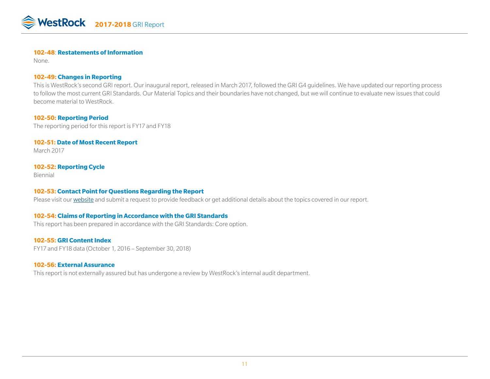

#### **102-48**: **Restatements of Information**

None.

#### **102-49: Changes in Reporting**

This is WestRock's second GRI report. Our inaugural report, released in March 2017, followed the GRI G4 guidelines. We have updated our reporting process to follow the most current GRI Standards. Our Material Topics and their boundaries have not changed, but we will continue to evaluate new issues that could become material to WestRock.

#### **102-50: Reporting Period**

The reporting period for this report is FY17 and FY18

#### **102-51: Date of Most Recent Report**

March 2017

#### **102-52: Reporting Cycle**

Biennial

#### **102-53: Contact Point for Questions Regarding the Report**

Please visit our [website](https://www.westrock.com/en/sustainability/sustainability-contact-us) and submit a request to provide feedback or get additional details about the topics covered in our report.

#### **102-54: Claims of Reporting in Accordance with the GRI Standards**

This report has been prepared in accordance with the GRI Standards: Core option.

#### **102-55: GRI Content Index**

FY17 and FY18 data (October 1, 2016 – September 30, 2018)

#### **102-56: External Assurance**

This report is not externally assured but has undergone a review by WestRock's internal audit department.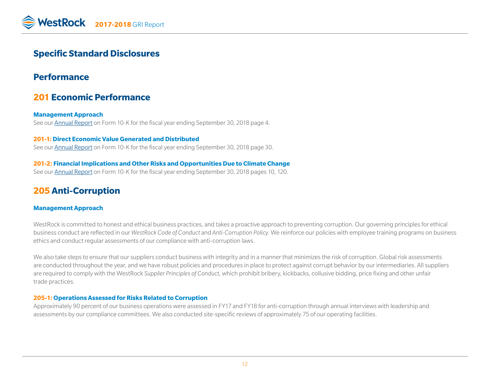# **Specific Standard Disclosures**

# **Performance**

# **201 Economic Performance**

**Management Approach** See our [Annual Report](http://ir.westrock.com/reports-and-filings/annual-reports/default.aspx) on Form 10-K for the fiscal year ending September 30, 2018 page 4.

#### **201-1: Direct Economic Value Generated and Distributed** See our [Annual Report](http://ir.westrock.com/reports-and-filings/annual-reports/default.aspx) on Form 10-K for the fiscal year ending September 30, 2018 page 30.

#### **201-2: Financial Implications and Other Risks and Opportunities Due to Climate Change** See our [Annual Report](http://ir.westrock.com/reports-and-filings/annual-reports/default.aspx) on Form 10-K for the fiscal year ending September 30, 2018 pages 10, 120.

# **205 Anti-Corruption**

#### **Management Approach**

WestRock is committed to honest and ethical business practices, and takes a proactive approach to preventing corruption. Our governing principles for ethical business conduct are reflected in our *WestRock Code of Conduct* and *Anti-Corruption Policy.* We reinforce our policies with employee training programs on business ethics and conduct regular assessments of our compliance with anti-corruption laws.

We also take steps to ensure that our suppliers conduct business with integrity and in a manner that minimizes the risk of corruption. Global risk assessments are conducted throughout the year, and we have robust policies and procedures in place to protect against corrupt behavior by our intermediaries. All suppliers are required to comply with the WestRock *Supplier Principles of Conduct,* which prohibit bribery, kickbacks, collusive bidding, price fixing and other unfair trade practices.

#### **205-1: Operations Assessed for Risks Related to Corruption**

Approximately 90 percent of our business operations were assessed in FY17 and FY18 for anti-corruption through annual interviews with leadership and assessments by our compliance committees. We also conducted site-specific reviews of approximately 75 of our operating facilities.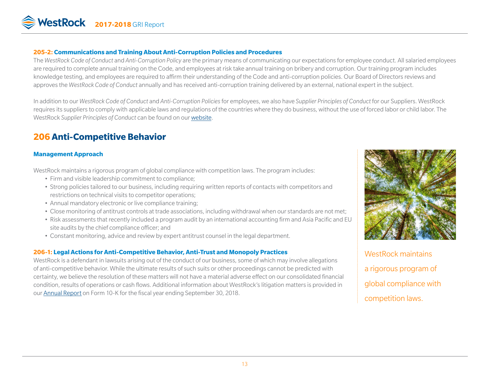

### **205-2: Communications and Training About Anti-Corruption Policies and Procedures**

The *WestRock Code of Conduct* and *Anti-Corruption Policy* are the primary means of communicating our expectations for employee conduct. All salaried employees are required to complete annual training on the Code, and employees at risk take annual training on bribery and corruption. Our training program includes knowledge testing, and employees are required to affirm their understanding of the Code and anti-corruption policies. Our Board of Directors reviews and approves the *WestRock Code of Conduct* annually and has received anti-corruption training delivered by an external, national expert in the subject.

In addition to our *WestRock Code of Conduct* and *Anti-Corruption Policies* for employees, we also have *Supplier Principles of Conduct* for our Suppliers. WestRock requires its suppliers to comply with applicable laws and regulations of the countries where they do business, without the use of forced labor or child labor. The WestRock *Supplier Principles of Conduct* can be found on our [website.](https://www.westrock.com/en/sustainability#policies---certifications)

# **206 Anti-Competitive Behavior**

### **Management Approach**

WestRock maintains a rigorous program of global compliance with competition laws. The program includes:

- Firm and visible leadership commitment to compliance;
- Strong policies tailored to our business, including requiring written reports of contacts with competitors and restrictions on technical visits to competitor operations;
- Annual mandatory electronic or live compliance training;
- Close monitoring of antitrust controls at trade associations, including withdrawal when our standards are not met;
- Risk assessments that recently included a program audit by an international accounting firm and Asia Pacific and EU site audits by the chief compliance officer; and
- Constant monitoring, advice and review by expert antitrust counsel in the legal department.

## **206-1: Legal Actions for Anti-Competitive Behavior, Anti-Trust and Monopoly Practices**

WestRock is a defendant in lawsuits arising out of the conduct of our business, some of which may involve allegations of anti-competitive behavior. While the ultimate results of such suits or other proceedings cannot be predicted with certainty, we believe the resolution of these matters will not have a material adverse effect on our consolidated financial condition, results of operations or cash flows. Additional information about WestRock's litigation matters is provided in our [Annual Report](http://ir.westrock.com/reports-and-filings/annual-reports/default.aspx) on Form 10-K for the fiscal year ending September 30, 2018.



WestRock maintains a rigorous program of global compliance with competition laws.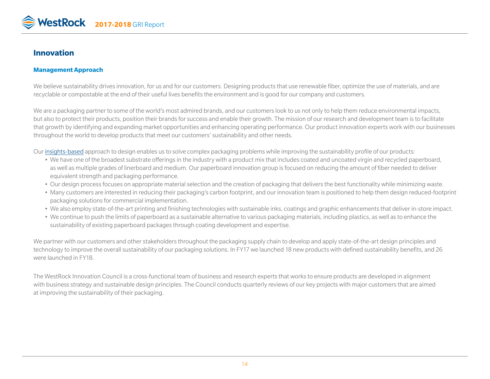

### **Innovation**

#### **Management Approach**

We believe sustainability drives innovation, for us and for our customers. Designing products that use renewable fiber, optimize the use of materials, and are recyclable or compostable at the end of their useful lives benefits the environment and is good for our company and customers.

We are a packaging partner to some of the world's most admired brands, and our customers look to us not only to help them reduce environmental impacts, but also to protect their products, position their brands for success and enable their growth. The mission of our research and development team is to facilitate that growth by identifying and expanding market opportunities and enhancing operating performance. Our product innovation experts work with our businesses throughout the world to develop products that meet our customers' sustainability and other needs.

Our [insights-based](https://www.westrock.com/en/insights) approach to design enables us to solve complex packaging problems while improving the sustainability profile of our products:

- We have one of the broadest substrate offerings in the industry with a product mix that includes coated and uncoated virgin and recycled paperboard, as well as multiple grades of linerboard and medium. Our paperboard innovation group is focused on reducing the amount of fiber needed to deliver equivalent strength and packaging performance.
- Our design process focuses on appropriate material selection and the creation of packaging that delivers the best functionality while minimizing waste.
- Many customers are interested in reducing their packaging's carbon footprint, and our innovation team is positioned to help them design reduced-footprint packaging solutions for commercial implementation.
- We also employ state-of-the-art printing and finishing technologies with sustainable inks, coatings and graphic enhancements that deliver in-store impact.
- We continue to push the limits of paperboard as a sustainable alternative to various packaging materials, including plastics, as well as to enhance the sustainability of existing paperboard packages through coating development and expertise.

We partner with our customers and other stakeholders throughout the packaging supply chain to develop and apply state-of-the-art design principles and technology to improve the overall sustainability of our packaging solutions. In FY17 we launched 18 new products with defined sustainability benefits, and 26 were launched in FY18.

The WestRock Innovation Council is a cross-functional team of business and research experts that works to ensure products are developed in alignment with business strategy and sustainable design principles. The Council conducts quarterly reviews of our key projects with major customers that are aimed at improving the sustainability of their packaging.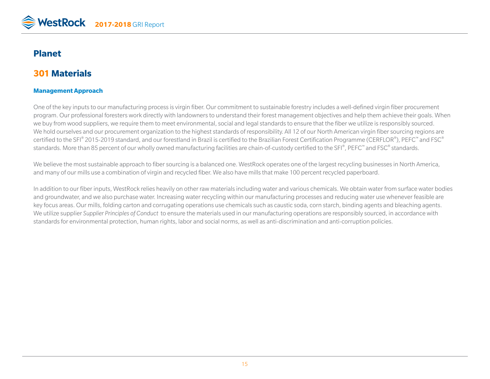

# **Planet**

# **301 Materials**

#### **Management Approach**

One of the key inputs to our manufacturing process is virgin fiber. Our commitment to sustainable forestry includes a well-defined virgin fiber procurement program. Our professional foresters work directly with landowners to understand their forest management objectives and help them achieve their goals. When we buy from wood suppliers, we require them to meet environmental, social and legal standards to ensure that the fiber we utilize is responsibly sourced. We hold ourselves and our procurement organization to the highest standards of responsibility. All 12 of our North American virgin fiber sourcing regions are certified to the SFI® 2015-2019 standard, and our forestland in Brazil is certified to the Brazilian Forest Certification Programme (CERFLOR®), PEFC™ and FSC® standards. More than 85 percent of our wholly owned manufacturing facilities are chain-of-custody certified to the SFI®, PEFC™ and FSC® standards.

We believe the most sustainable approach to fiber sourcing is a balanced one. WestRock operates one of the largest recycling businesses in North America, and many of our mills use a combination of virgin and recycled fiber. We also have mills that make 100 percent recycled paperboard.

In addition to our fiber inputs, WestRock relies heavily on other raw materials including water and various chemicals. We obtain water from surface water bodies and groundwater, and we also purchase water. Increasing water recycling within our manufacturing processes and reducing water use whenever feasible are key focus areas. Our mills, folding carton and corrugating operations use chemicals such as caustic soda, corn starch, binding agents and bleaching agents. We utilize supplier *Supplier Principles of Conduct* to ensure the materials used in our manufacturing operations are responsibly sourced, in accordance with standards for environmental protection, human rights, labor and social norms, as well as anti-discrimination and anti-corruption policies.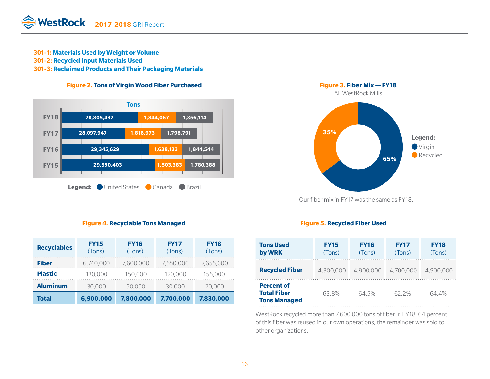- **301-1: Materials Used by Weight or Volume**
- **301-2: Recycled Input Materials Used**

**301-3: Reclaimed Products and Their Packaging Materials**





#### **Figure 4. Recyclable Tons Managed**

| <b>Recyclables</b> | <b>FY15</b><br>(Tons) | <b>FY16</b><br>(Tons) | <b>FY17</b><br>(Tons) | <b>FY18</b><br>(Tons) |
|--------------------|-----------------------|-----------------------|-----------------------|-----------------------|
| <b>Fiber</b>       | 6,740,000             | 7,600,000             | 7,550,000             | 7,655,000             |
| <b>Plastic</b>     | 130,000               | 150,000               | 120,000               | 155,000               |
| <b>Aluminum</b>    | 30,000                | 50,000                | 30,000                | 20,000                |
| Total              | 6,900,000             | 7,800,000             | 7,700,000             | 7,830,000             |



#### Our fiber mix in FY17 was the same as FY18.

#### **Figure 5. Recycled Fiber Used**

| <b>Tons Used</b><br>by WRK                                     | <b>FY15</b><br>(Tons) | <b>FY16</b><br>(Tons) | <b>FY17</b><br>(Tons) | <b>FY18</b><br>(Tons) |
|----------------------------------------------------------------|-----------------------|-----------------------|-----------------------|-----------------------|
| <b>Recycled Fiber</b>                                          | 4.300.000             | 4,900,000             | 4,700,000             | 4,900,000             |
| <b>Percent of</b><br><b>Total Fiber</b><br><b>Tons Managed</b> | 63.8%                 | 64 5%                 | 62 2%                 | 64.4%                 |

WestRock recycled more than 7,600,000 tons of fiber in FY18. 64 percent of this fiber was reused in our own operations, the remainder was sold to other organizations.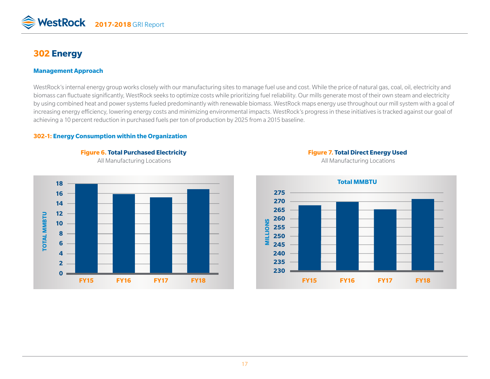

# **302 Energy**

#### **Management Approach**

WestRock's internal energy group works closely with our manufacturing sites to manage fuel use and cost. While the price of natural gas, coal, oil, electricity and biomass can fluctuate significantly, WestRock seeks to optimize costs while prioritizing fuel reliability. Our mills generate most of their own steam and electricity by using combined heat and power systems fueled predominantly with renewable biomass. WestRock maps energy use throughout our mill system with a goal of increasing energy efficiency, lowering energy costs and minimizing environmental impacts. WestRock's progress in these initiatives is tracked against our goal of achieving a 10 percent reduction in purchased fuels per ton of production by 2025 from a 2015 baseline.

#### **302-1: Energy Consumption within the Organization**





All Manufacturing Locations **All Manufacturing Locations** All Manufacturing Locations

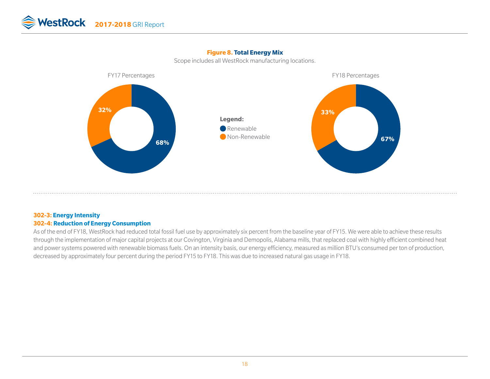

Scope includes all WestRock manufacturing locations.



#### **302-3: Energy Intensity 302-4: Reduction of Energy Consumption**

As of the end of FY18, WestRock had reduced total fossil fuel use by approximately six percent from the baseline year of FY15. We were able to achieve these results through the implementation of major capital projects at our Covington, Virginia and Demopolis, Alabama mills, that replaced coal with highly efficient combined heat and power systems powered with renewable biomass fuels. On an intensity basis, our energy efficiency, measured as million BTU's consumed per ton of production, decreased by approximately four percent during the period FY15 to FY18. This was due to increased natural gas usage in FY18.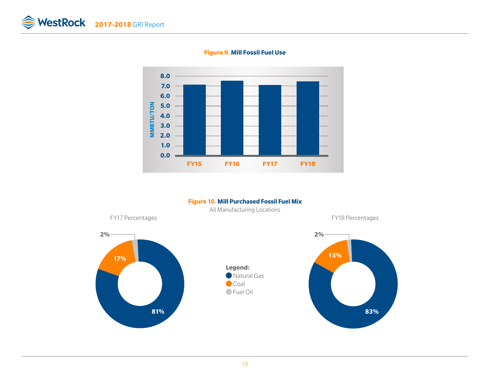

**Figure 9. Mill Fossil Fuel Use**

#### **Figure 10. Mill Purchased Fossil Fuel Mix**



All Manufacturing Locations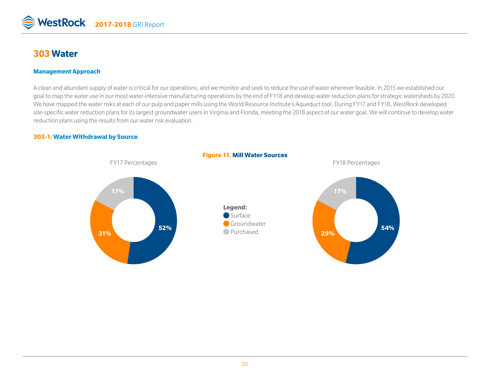

# **303 Water**

#### **Management Approach**

A clean and abundant supply of water is critical for our operations, and we monitor and seek to reduce the use of water wherever feasible. In 2015 we established our goal to map the water use in our most water-intensive manufacturing operations by the end of FY18 and develop water reduction plans for strategic watersheds by 2020. We have mapped the water risks at each of our pulp and paper mills using the World Resource Institute's Aqueduct tool. During FY17 and FY18, WestRock developed site-specific water reduction plans for its largest groundwater users in Virginia and Florida, meeting the 2018 aspect of our water goal. We will continue to develop water reduction plans using the results from our water risk evaluation.

#### **303-1: Water Withdrawal by Source**



20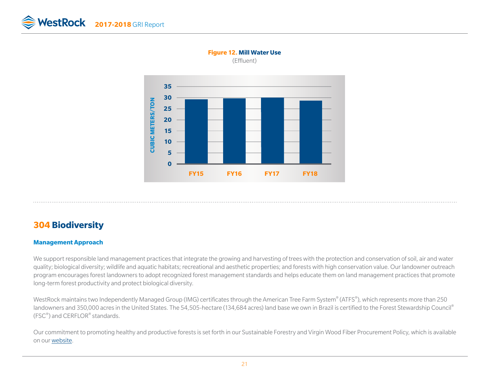



#### **Figure 12. Mill Water Use**  (Effluent)

# **304 Biodiversity**

#### **Management Approach**

We support responsible land management practices that integrate the growing and harvesting of trees with the protection and conservation of soil, air and water quality; biological diversity; wildlife and aquatic habitats; recreational and aesthetic properties; and forests with high conservation value. Our landowner outreach program encourages forest landowners to adopt recognized forest management standards and helps educate them on land management practices that promote long-term forest productivity and protect biological diversity.

WestRock maintains two Independently Managed Group (IMG) certificates through the American Tree Farm System® (ATFS®), which represents more than 250 landowners and 350,000 acres in the United States. The 54,505-hectare (134,684 acres) land base we own in Brazil is certified to the Forest Stewardship Council® (FSC®) and CERFLOR® standards.

Our commitment to promoting healthy and productive forests is set forth in our Sustainable Forestry and Virgin Wood Fiber Procurement Policy, which is available on our [website](https://www.westrock.com/sustainability#policies---certifications).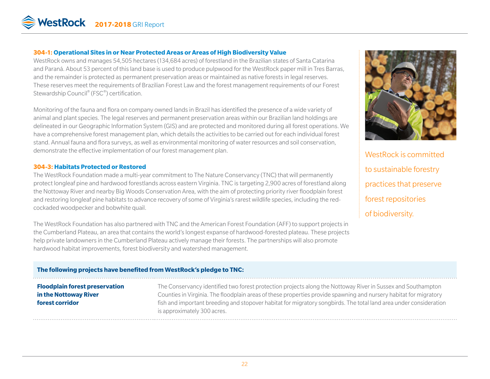

#### **304-1: Operational Sites in or Near Protected Areas or Areas of High Biodiversity Value**

WestRock owns and manages 54,505 hectares (134,684 acres) of forestland in the Brazilian states of Santa Catarina and Paraná. About 53 percent of this land base is used to produce pulpwood for the WestRock paper mill in Tres Barras, and the remainder is protected as permanent preservation areas or maintained as native forests in legal reserves. These reserves meet the requirements of Brazilian Forest Law and the forest management requirements of our Forest Stewardship Council® (FSC®) certification.

Monitoring of the fauna and flora on company owned lands in Brazil has identified the presence of a wide variety of animal and plant species. The legal reserves and permanent preservation areas within our Brazilian land holdings are delineated in our Geographic Information System (GIS) and are protected and monitored during all forest operations. We have a comprehensive forest management plan, which details the activities to be carried out for each individual forest stand. Annual fauna and flora surveys, as well as environmental monitoring of water resources and soil conservation, demonstrate the effective implementation of our forest management plan.

#### **304-3: Habitats Protected or Restored**

The WestRock Foundation made a multi-year commitment to The Nature Conservancy (TNC) that will permanently protect longleaf pine and hardwood forestlands across eastern Virginia. TNC is targeting 2,900 acres of forestland along the Nottoway River and nearby Big Woods Conservation Area, with the aim of protecting priority river floodplain forest and restoring longleaf pine habitats to advance recovery of some of Virginia's rarest wildlife species, including the redcockaded woodpecker and bobwhite quail.

The WestRock Foundation has also partnered with TNC and the American Forest Foundation (AFF) to support projects in the Cumberland Plateau, an area that contains the world's longest expanse of hardwood-forested plateau. These projects help private landowners in the Cumberland Plateau actively manage their forests. The partnerships will also promote hardwood habitat improvements, forest biodiversity and watershed management.



WestRock is committed to sustainable forestry practices that preserve forest repositories of biodiversity.

#### **The following projects have benefited from WestRock's pledge to TNC:**

#### **Floodplain forest preservation in the Nottoway River forest corridor**

The Conservancy identified two forest protection projects along the Nottoway River in Sussex and Southampton Counties in Virginia. The floodplain areas of these properties provide spawning and nursery habitat for migratory fish and important breeding and stopover habitat for migratory songbirds. The total land area under consideration is approximately 300 acres.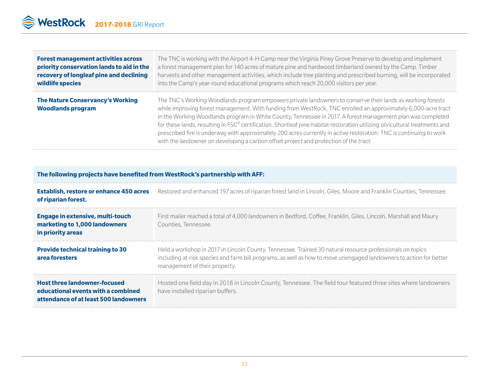| <b>Forest management activities across</b>                   | The TNC is working with the Airport 4-H Camp near the Virginia Piney Grove Preserve to develop and implement                                                                                                                                                                                                                                                                                                                                                                                                                                                                                                                                                                              |
|--------------------------------------------------------------|-------------------------------------------------------------------------------------------------------------------------------------------------------------------------------------------------------------------------------------------------------------------------------------------------------------------------------------------------------------------------------------------------------------------------------------------------------------------------------------------------------------------------------------------------------------------------------------------------------------------------------------------------------------------------------------------|
| priority conservation lands to aid in the                    | a forest management plan for 140 acres of mature pine and hardwood timberland owned by the Camp. Timber                                                                                                                                                                                                                                                                                                                                                                                                                                                                                                                                                                                   |
| recovery of longleaf pine and declining                      | harvests and other management activities, which include tree planting and prescribed burning, will be incorporated                                                                                                                                                                                                                                                                                                                                                                                                                                                                                                                                                                        |
| wildlife species                                             | into the Camp's year-round educational programs which reach 20,000 visitors per year.                                                                                                                                                                                                                                                                                                                                                                                                                                                                                                                                                                                                     |
| The Nature Conservancy's Working<br><b>Woodlands program</b> | The TNC's Working Woodlands program empowers private landowners to conserve their lands as working forests<br>while improving forest management. With funding from WestRock, TNC enrolled an approximately 6,000-acre tract<br>in the Working Woodlands program in White County, Tennessee in 2017. A forest management plan was completed<br>for these lands, resulting in FSC® certification. Shortleaf pine habitat restoration utilizing silvicultural treatments and<br>prescribed fire is underway with approximately 200 acres currently in active restoration. TNC is continuing to work<br>with the landowner on developing a carbon offset project and protection of the tract. |

| The following projects have benefited from WestRock's partnership with AFF:                                        |                                                                                                                                                                                                                                                                  |  |  |  |  |
|--------------------------------------------------------------------------------------------------------------------|------------------------------------------------------------------------------------------------------------------------------------------------------------------------------------------------------------------------------------------------------------------|--|--|--|--|
| <b>Establish, restore or enhance 450 acres</b><br>of riparian forest.                                              | Restored and enhanced 197 acres of riparian forest land in Lincoln, Giles, Moore and Franklin Counties, Tennessee.                                                                                                                                               |  |  |  |  |
| <b>Engage in extensive, multi-touch</b><br>marketing to 1,000 landowners<br>in priority areas                      | First mailer reached a total of 4,000 landowners in Bedford, Coffee, Franklin, Giles, Lincoln, Marshall and Maury<br>Counties, Tennessee.                                                                                                                        |  |  |  |  |
| <b>Provide technical training to 30</b><br>area foresters                                                          | Held a workshop in 2017 in Lincoln County, Tennessee. Trained 30 natural resource professionals on topics<br>including at-risk species and farm bill programs, as well as how to move unengaged landowners to action for better<br>management of their property. |  |  |  |  |
| <b>Host three landowner-focused</b><br>educational events with a combined<br>attendance of at least 500 landowners | Hosted one field day in 2018 in Lincoln County, Tennessee. The field tour featured three sites where landowners<br>have installed riparian buffers.                                                                                                              |  |  |  |  |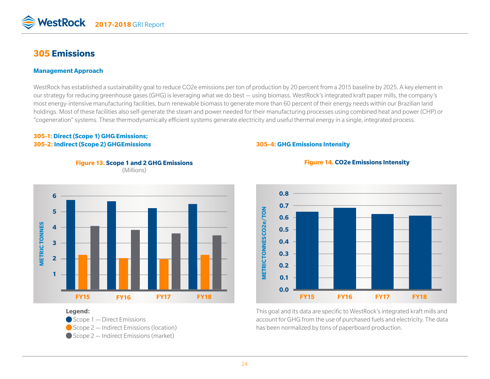

# **305 Emissions**

#### **Management Approach**

WestRock has established a sustainability goal to reduce CO2e emissions per ton of production by 20 percent from a 2015 baseline by 2025. A key element in our strategy for reducing greenhouse gases (GHG) is leveraging what we do best — using biomass. WestRock's integrated kraft paper mills, the company's most energy-intensive manufacturing facilities, burn renewable biomass to generate more than 60 percent of their energy needs within our Brazilian land holdings. Most of these facilities also self-generate the steam and power needed for their manufacturing processes using combined heat and power (CHP) or "cogeneration" systems. These thermodynamically efficient systems generate electricity and useful thermal energy in a single, integrated process.

#### **305-1: Direct (Scope 1) GHG Emissions; 305-2: Indirect (Scope 2) GHGEmissions**

#### **305-4: GHG Emissions Intensity**







#### **Figure 14. CO2e Emissions Intensity**

This goal and its data are specific to WestRock's integrated kraft mills and account for GHG from the use of purchased fuels and electricity. The data has been normalized by tons of paperboard production.

#### **Legend:**

- Scope 1 Direct Emissions
- Scope 2 Indirect Emissions (location)
- Scope 2 Indirect Emissions (market)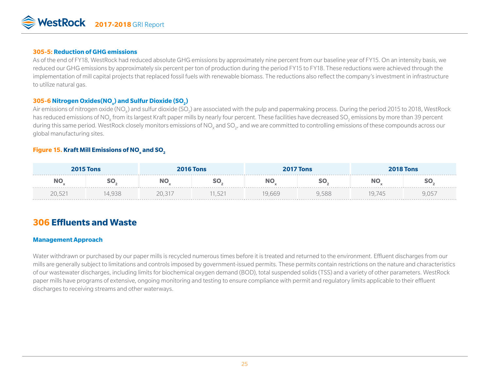

#### **305-5: Reduction of GHG emissions**

As of the end of FY18, WestRock had reduced absolute GHG emissions by approximately nine percent from our baseline year of FY15. On an intensity basis, we reduced our GHG emissions by approximately six percent per ton of production during the period FY15 to FY18. These reductions were achieved through the implementation of mill capital projects that replaced fossil fuels with renewable biomass. The reductions also reflect the company's investment in infrastructure to utilize natural gas.

#### $\mathbf{305\text{-}6}$  Nitrogen Oxides(NO<sub>x</sub>) and Sulfur Dioxide (SO<sub>2</sub>)

Air emissions of nitrogen oxide (NO<sub>x</sub>) and sulfur dioxide (SO<sub>2</sub>) are associated with the pulp and papermaking process. During the period 2015 to 2018, WestRock has reduced emissions of NO<sub>x</sub> from its largest Kraft paper mills by nearly four percent. These facilities have decreased SO<sub>2</sub> emissions by more than 39 percent during this same period. WestRock closely monitors emissions of NO<sub>x</sub> and SO<sub>2</sub>, and we are committed to controlling emissions of these compounds across our global manufacturing sites.

### ${\sf Figure~15.}$  Kraft Mill Emissions of NO $_{\sf x}$  and SO $_{\sf 2}$

| <b>2015 Tons</b> |        |        | <b>2016 Tons</b> |       | <b>2017 Tons</b> |        | <b>2018 Tons</b> |
|------------------|--------|--------|------------------|-------|------------------|--------|------------------|
| --               |        |        |                  |       |                  |        |                  |
| 20.521           | 14.938 | 20.317 | ,1,521           | 9.669 | 9.588            | 19.745 | 9.057            |

# **306 Effluents and Waste**

#### **Management Approach**

Water withdrawn or purchased by our paper mills is recycled numerous times before it is treated and returned to the environment. Effluent discharges from our mills are generally subject to limitations and controls imposed by government-issued permits. These permits contain restrictions on the nature and characteristics of our wastewater discharges, including limits for biochemical oxygen demand (BOD), total suspended solids (TSS) and a variety of other parameters. WestRock paper mills have programs of extensive, ongoing monitoring and testing to ensure compliance with permit and regulatory limits applicable to their effluent discharges to receiving streams and other waterways.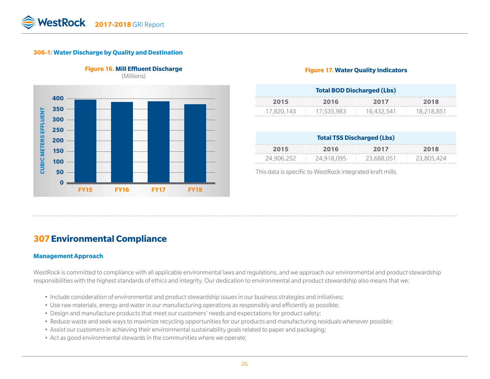#### **306-1: Water Discharge by Quality and Destination**



# **Figure 16. Mill Effluent Discharge** (Millions)

#### **Figure 17. Water Quality Indicators**

| <b>Total BOD Discharged (Lbs)</b> |            |            |            |  |  |
|-----------------------------------|------------|------------|------------|--|--|
| 2015<br>2018<br>2016<br>2017      |            |            |            |  |  |
| 17.820.143                        | 17,535,983 | 16.432.541 | 18.218.851 |  |  |

| <b>Total TSS Discharged (Lbs)</b> |            |            |            |  |  |
|-----------------------------------|------------|------------|------------|--|--|
| 2016<br>2018<br>2017<br>2015      |            |            |            |  |  |
| 24,906,252                        | 24,918,095 | 23,688,051 | 23,805.424 |  |  |

This data is specific to WestRock integrated kraft mills.

# **307Environmental Compliance**

#### **Management Approach**

WestRock is committed to compliance with all applicable environmental laws and regulations, and we approach our environmental and product stewardship responsibilities with the highest standards of ethics and integrity. Our dedication to environmental and product stewardship also means that we:

- Include consideration of environmental and product stewardship issues in our business strategies and initiatives;
- Use raw materials, energy and water in our manufacturing operations as responsibly and efficiently as possible;
- Design and manufacture products that meet our customers' needs and expectations for product safety;
- Reduce waste and seek ways to maximize recycling opportunities for our products and manufacturing residuals whenever possible;
- Assist our customers in achieving their environmental sustainability goals related to paper and packaging;
- Act as good environmental stewards in the communities where we operate;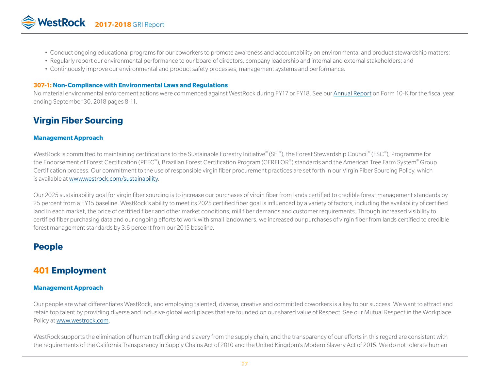- Conduct ongoing educational programs for our coworkers to promote awareness and accountability on environmental and product stewardship matters;
- Regularly report our environmental performance to our board of directors, company leadership and internal and external stakeholders; and
- Continuously improve our environmental and product safety processes, management systems and performance.

#### **307-1: Non-Compliance with Environmental Laws and Regulations**

No material environmental enforcement actions were commenced against WestRock during FY17 or FY18. See our [Annual Report](http://ir.westrock.com/reports-and-filings/annual-reports/default.aspx) on Form 10-K for the fiscal year ending September 30, 2018 pages 8-11.

# **Virgin Fiber Sourcing**

#### **Management Approach**

WestRock is committed to maintaining certifications to the Sustainable Forestry Initiative® (SFI®), the Forest Stewardship Council® (FSC®), Programme for the Endorsement of Forest Certification (PEFC™), Brazilian Forest Certification Program (CERFLOR®) standards and the American Tree Farm System® Group Certification process. Our commitment to the use of responsible virgin fiber procurement practices are set forth in our Virgin Fiber Sourcing Policy, which is available at [www.westrock.com/sustainability](https://www.westrock.com/sustainability#policies---certifications).

Our 2025 sustainability goal for virgin fiber sourcing is to increase our purchases of virgin fiber from lands certified to credible forest management standards by 25 percent from a FY15 baseline. WestRock's ability to meet its 2025 certified fiber goal is influenced by a variety of factors, including the availability of certified land in each market, the price of certified fiber and other market conditions, mill fiber demands and customer requirements. Through increased visibility to certified fiber purchasing data and our ongoing efforts to work with small landowners, we increased our purchases of virgin fiber from lands certified to credible forest management standards by 3.6 percent from our 2015 baseline.

# **People**

# **401 Employment**

#### **Management Approach**

Our people are what differentiates WestRock, and employing talented, diverse, creative and committed coworkers is a key to our success. We want to attract and retain top talent by providing diverse and inclusive global workplaces that are founded on our shared value of Respect. See our Mutual Respect in the Workplace Policy at [www.westrock.com.](https://www.westrock.com/en/sustainability#policies---certifications)

WestRock supports the elimination of human trafficking and slavery from the supply chain, and the transparency of our efforts in this regard are consistent with the requirements of the California Transparency in Supply Chains Act of 2010 and the United Kingdom's Modern Slavery Act of 2015. We do not tolerate human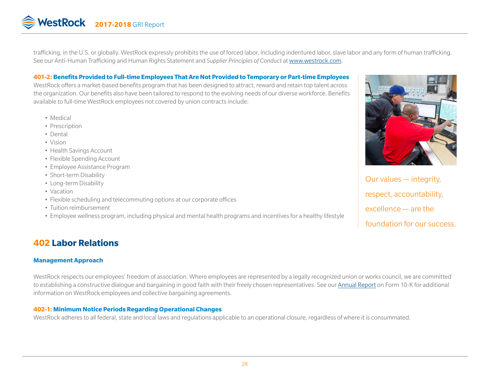trafficking, in the U.S. or globally. WestRock expressly prohibits the use of forced labor, including indentured labor, slave labor and any form of human trafficking. See our Anti-Human Trafficking and Human Rights Statement and *Supplier Principles of Conduct* at [www.westrock.com.](https://www.westrock.com/en/sustainability#policies---certifications)

#### **401-2: Benefits Provided to Full-time Employees That Are Not Provided to Temporary or Part-time Employees**

WestRock offers a market-based benefits program that has been designed to attract, reward and retain top talent across the organization. Our benefits also have been tailored to respond to the evolving needs of our diverse workforce. Benefits available to full-time WestRock employees not covered by union contracts include:

- Medical
- Prescription
- Dental
- Vision
- Health Savings Account
- Flexible Spending Account
- Employee Assistance Program
- Short-term Disability
- Long-term Disability
- Vacation
- Flexible scheduling and telecommuting options at our corporate offices
- Tuition reimbursement
- Employee wellness program, including physical and mental health programs and incentives for a healthy lifestyle

# **402 Labor Relations**

#### **Management Approach**

WestRock respects our employees' freedom of association. Where employees are represented by a legally recognized union or works council, we are committed to establishing a constructive dialogue and bargaining in good faith with their freely chosen representatives. See our [Annual Report](http://ir.westrock.com/reports-and-filings/annual-reports/default.aspx) on Form 10-K for additional information on WestRock employees and collective bargaining agreements.

#### **402-1: Minimum Notice Periods Regarding Operational Changes**

WestRock adheres to all federal, state and local laws and regulations applicable to an operational closure, regardless of where it is consummated.



Our values — integrity, respect, accountability, excellence — are the foundation for our success.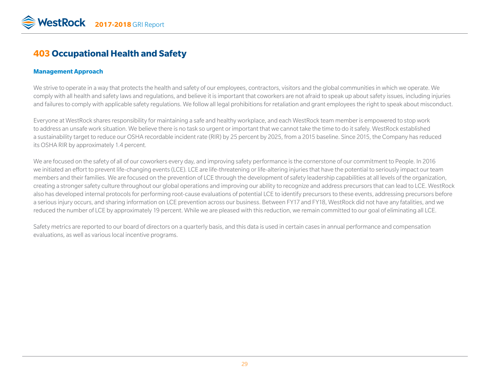# **403 Occupational Health and Safety**

#### **Management Approach**

We strive to operate in a way that protects the health and safety of our employees, contractors, visitors and the global communities in which we operate. We comply with all health and safety laws and regulations, and believe it is important that coworkers are not afraid to speak up about safety issues, including injuries and failures to comply with applicable safety regulations. We follow all legal prohibitions for retaliation and grant employees the right to speak about misconduct.

Everyone at WestRock shares responsibility for maintaining a safe and healthy workplace, and each WestRock team member is empowered to stop work to address an unsafe work situation. We believe there is no task so urgent or important that we cannot take the time to do it safely. WestRock established a sustainability target to reduce our OSHA recordable incident rate (RIR) by 25 percent by 2025, from a 2015 baseline. Since 2015, the Company has reduced its OSHA RIR by approximately 1.4 percent*.* 

We are focused on the safety of all of our coworkers every day, and improving safety performance is the cornerstone of our commitment to People. In 2016 we initiated an effort to prevent life-changing events (LCE). LCE are life-threatening or life-altering injuries that have the potential to seriously impact our team members and their families. We are focused on the prevention of LCE through the development of safety leadership capabilities at all levels of the organization, creating a stronger safety culture throughout our global operations and improving our ability to recognize and address precursors that can lead to LCE. WestRock also has developed internal protocols for performing root-cause evaluations of potential LCE to identify precursors to these events, addressing precursors before a serious injury occurs, and sharing information on LCE prevention across our business. Between FY17 and FY18, WestRock did not have any fatalities, and we reduced the number of LCE by approximately 19 percent. While we are pleased with this reduction, we remain committed to our goal of eliminating all LCE.

Safety metrics are reported to our board of directors on a quarterly basis, and this data is used in certain cases in annual performance and compensation evaluations, as well as various local incentive programs.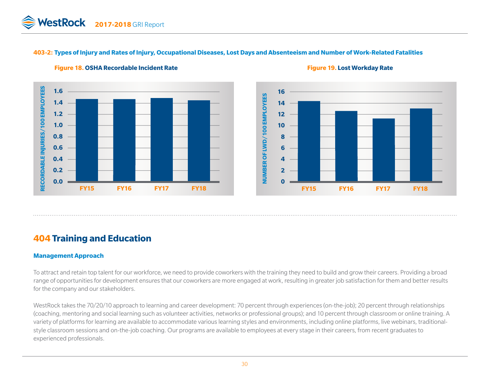#### **403-2: Types of Injury and Rates of Injury, Occupational Diseases, Lost Days and Absenteeism and Number of Work-Related Fatalities**



#### **Figure 18. OSHA Recordable Incident Rate Figure 19. Lost Workday Rate**



# **404 Training and Education**

#### **Management Approach**

To attract and retain top talent for our workforce, we need to provide coworkers with the training they need to build and grow their careers. Providing a broad range of opportunities for development ensures that our coworkers are more engaged at work, resulting in greater job satisfaction for them and better results for the company and our stakeholders.

WestRock takes the 70/20/10 approach to learning and career development: 70 percent through experiences (on-the-job); 20 percent through relationships (coaching, mentoring and social learning such as volunteer activities, networks or professional groups); and 10 percent through classroom or online training. A variety of platforms for learning are available to accommodate various learning styles and environments, including online platforms, live webinars, traditionalstyle classroom sessions and on-the-job coaching. Our programs are available to employees at every stage in their careers, from recent graduates to experienced professionals.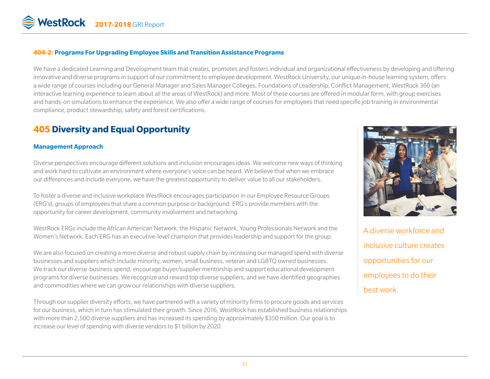

#### **404-2: Programs For Upgrading Employee Skills and Transition Assistance Programs**

We have a dedicated Learning and Development team that creates, promotes and fosters individual and organizational effectiveness by developing and offering innovative and diverse programs in support of our commitment to employee development. WestRock University, our unique in-house learning system, offers a wide range of courses including our General Manager and Sales Manager Colleges, Foundations of Leadership, Conflict Management, WestRock 360 (an interactive learning experience to learn about all the areas of WestRock) and more. Most of these courses are offered in modular form, with group exercises and hands-on simulations to enhance the experience. We also offer a wide range of courses for employees that need specific job training in environmental compliance, product stewardship, safety and forest certifications.

# **405 Diversity and Equal Opportunity**

#### **Management Approach**

Diverse perspectives encourage different solutions and inclusion encourages ideas. We welcome new ways of thinking and work hard to cultivate an environment where everyone's voice can be heard. We believe that when we embrace our differences and include everyone, we have the greatest opportunity to deliver value to all our stakeholders.

To foster a diverse and inclusive workplace WestRock encourages participation in our Employee Resource Groups (ERG's), groups of employees that share a common purpose or background. ERG's provide members with the opportunity for career development, community involvement and networking.

WestRock ERGs include the African American Network, the Hispanic Network, Young Professionals Network and the Women's Network. Each ERG has an executive-level champion that provides leadership and support for the group.

We are also focused on creating a more diverse and robust supply chain by increasing our managed spend with diverse businesses and suppliers which include minority, women, small business, veteran and LGBTQ owned businesses. We track our diverse-business spend, encourage buyer/supplier mentorship and support educational development programs for diverse businesses. We recognize and reward top diverse suppliers, and we have identified geographies and commodities where we can grow our relationships with diverse suppliers.

Through our supplier diversity efforts, we have partnered with a variety of minority firms to procure goods and services for our business, which in turn has stimulated their growth. Since 2016, WestRock has established business relationships with more than 2,500 diverse suppliers and has increased its spending by approximately \$350 million. Our goal is to increase our level of spending with diverse vendors to \$1 billion by 2020.



A diverse workforce and inclusive culture creates opportunities for our employees to do their best work.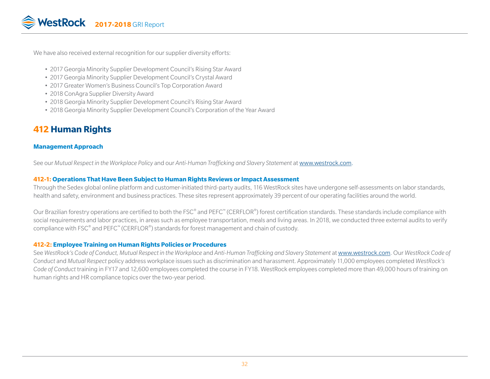We have also received external recognition for our supplier diversity efforts:

- 2017 Georgia Minority Supplier Development Council's Rising Star Award
- 2017 Georgia Minority Supplier Development Council's Crystal Award
- 2017 Greater Women's Business Council's Top Corporation Award
- 2018 ConAgra Supplier Diversity Award
- 2018 Georgia Minority Supplier Development Council's Rising Star Award
- 2018 Georgia Minority Supplier Development Council's Corporation of the Year Award

# **412 Human Rights**

#### **Management Approach**

See our *Mutual Respect in the Workplace Policy* and our *Anti-Human Trafficking and Slavery Statement* at [www.westrock.com](https://www.westrock.com/en/sustainability#policies---certifications).

#### **412-1: Operations That Have Been Subject to Human Rights Reviews or Impact Assessment**

Through the Sedex global online platform and customer-initiated third-party audits, 116 WestRock sites have undergone self-assessments on labor standards, health and safety, environment and business practices. These sites represent approximately 39 percent of our operating facilities around the world.

Our Brazilian forestry operations are certified to both the FSC® and PEFC™ (CERFLOR®) forest certification standards. These standards include compliance with social requirements and labor practices, in areas such as employee transportation, meals and living areas. In 2018, we conducted three external audits to verify compliance with FSC<sup>®</sup> and PEFC<sup>™</sup> (CERFLOR<sup>®</sup>) standards for forest management and chain of custody.

#### **412-2: Employee Training on Human Rights Policies or Procedures**

See *WestRock's Code of Conduct, Mutual Respect in the Workplace* and *Anti-Human Trafficking and Slavery Statement* at [www.westrock.com.](https://www.westrock.com/en/sustainability#policies---certifications) Our *WestRock Code of Conduct* and *Mutual Respect* policy address workplace issues such as discrimination and harassment. Approximately 11,000 employees completed *WestRock's Code of Conduct* training in FY17 and 12,600 employees completed the course in FY18. WestRock employees completed more than 49,000 hours of training on human rights and HR compliance topics over the two-year period.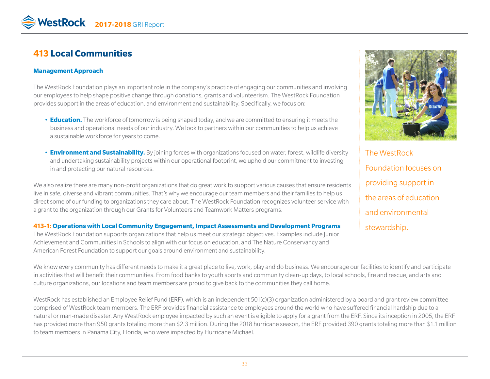# **413 Local Communities**

#### **Management Approach**

The WestRock Foundation plays an important role in the company's practice of engaging our communities and involving our employees to help shape positive change through donations, grants and volunteerism. The WestRock Foundation provides support in the areas of education, and environment and sustainability. Specifically, we focus on:

- **Education.** The workforce of tomorrow is being shaped today, and we are committed to ensuring it meets the business and operational needs of our industry. We look to partners within our communities to help us achieve a sustainable workforce for years to come.
- **Environment and Sustainability.** By joining forces with organizations focused on water, forest, wildlife diversity and undertaking sustainability projects within our operational footprint, we uphold our commitment to investing in and protecting our natural resources.

We also realize there are many non-profit organizations that do great work to support various causes that ensure residents live in safe, diverse and vibrant communities. That's why we encourage our team members and their families to help us direct some of our funding to organizations they care about. The WestRock Foundation recognizes volunteer service with a grant to the organization through our Grants for Volunteers and Teamwork Matters programs.

**413-1: Operations with Local Community Engagement, Impact Assessments and Development Programs** The WestRock Foundation supports organizations that help us meet our strategic objectives. Examples include Junior Achievement and Communities in Schools to align with our focus on education, and The Nature Conservancy and American Forest Foundation to support our goals around environment and sustainability.



The WestRock Foundation focuses on providing support in the areas of education and environmental stewardship.

We know every community has different needs to make it a great place to live, work, play and do business. We encourage our facilities to identify and participate in activities that will benefit their communities. From food banks to youth sports and community clean-up days, to local schools, fire and rescue, and arts and culture organizations, our locations and team members are proud to give back to the communities they call home.

WestRock has established an Employee Relief Fund (ERF), which is an independent 501(c)(3) organization administered by a board and grant review committee comprised of WestRock team members. The ERF provides financial assistance to employees around the world who have suffered financial hardship due to a natural or man-made disaster. Any WestRock employee impacted by such an event is eligible to apply for a grant from the ERF. Since its inception in 2005, the ERF has provided more than 950 grants totaling more than \$2.3 million. During the 2018 hurricane season, the ERF provided 390 grants totaling more than \$1.1 million to team members in Panama City, Florida, who were impacted by Hurricane Michael.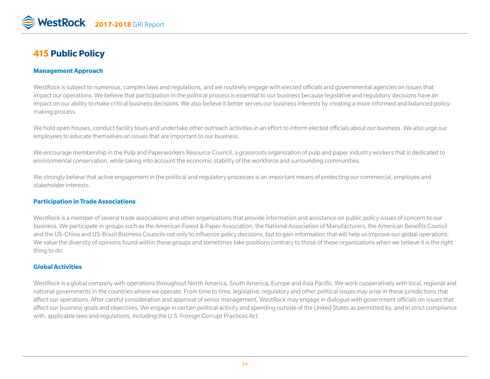# **415 Public Policy**

#### **Management Approach**

WestRock is subject to numerous, complex laws and regulations, and we routinely engage with elected officials and governmental agencies on issues that impact our operations. We believe that participation in the political process is essential to our business because legislative and regulatory decisions have an impact on our ability to make critical business decisions. We also believe it better serves our business interests by creating a more informed and balanced policymaking process.

We hold open houses, conduct facility tours and undertake other outreach activities in an effort to inform elected officials about our business. We also urge our employees to educate themselves on issues that are important to our business.

We encourage membership in the Pulp and Paperworkers Resource Council, a grassroots organization of pulp and paper industry workers that is dedicated to environmental conservation, while taking into account the economic stability of the workforce and surrounding communities.

We strongly believe that active engagement in the political and regulatory processes is an important means of protecting our commercial, employee and stakeholder interests.

#### **Participation in Trade Associations**

WestRock is a member of several trade associations and other organizations that provide information and assistance on public policy issues of concern to our business. We participate in groups such as the American Forest & Paper Association, the National Association of Manufacturers, the American Benefits Council and the US-China and US-Brazil Business Councils not only to influence policy decisions, but to gain information that will help us improve our global operations. We value the diversity of opinions found within these groups and sometimes take positions contrary to those of these organizations when we believe it is the right thing to do.

#### **Global Activities**

WestRock is a global company with operations throughout North America, South America, Europe and Asia Pacific. We work cooperatively with local, regional and national governments in the countries where we operate. From time to time, legislative, regulatory and other political issues may arise in these jurisdictions that affect our operations. After careful consideration and approval of senior management, WestRock may engage in dialogue with government officials on issues that affect our business goals and objectives. We engage in certain political activity and spending outside of the United States as permitted by, and in strict compliance with, applicable laws and regulations, including the U.S. Foreign Corrupt Practices Act.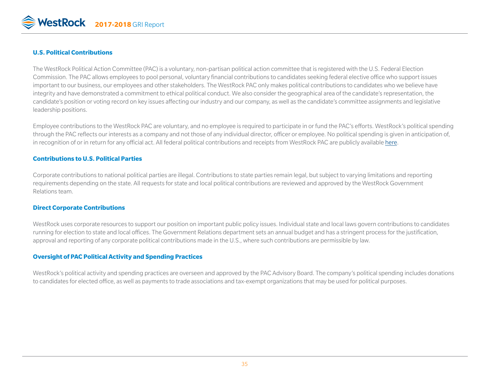

#### **U.S. Political Contributions**

The WestRock Political Action Committee (PAC) is a voluntary, non-partisan political action committee that is registered with the U.S. Federal Election Commission. The PAC allows employees to pool personal, voluntary financial contributions to candidates seeking federal elective office who support issues important to our business, our employees and other stakeholders. The WestRock PAC only makes political contributions to candidates who we believe have integrity and have demonstrated a commitment to ethical political conduct. We also consider the geographical area of the candidate's representation, the candidate's position or voting record on key issues affecting our industry and our company, as well as the candidate's committee assignments and legislative leadership positions.

Employee contributions to the WestRock PAC are voluntary, and no employee is required to participate in or fund the PAC's efforts. WestRock's political spending through the PAC reflects our interests as a company and not those of any individual director, officer or employee. No political spending is given in anticipation of, in recognition of or in return for any official act. All federal political contributions and receipts from WestRock PAC are publicly available [here](https://www.fec.gov/data/committee/C00117424/).

#### **Contributions to U.S. Political Parties**

Corporate contributions to national political parties are illegal. Contributions to state parties remain legal, but subject to varying limitations and reporting requirements depending on the state. All requests for state and local political contributions are reviewed and approved by the WestRock Government Relations team.

#### **Direct Corporate Contributions**

WestRock uses corporate resources to support our position on important public policy issues. Individual state and local laws govern contributions to candidates running for election to state and local offices. The Government Relations department sets an annual budget and has a stringent process for the justification, approval and reporting of any corporate political contributions made in the U.S., where such contributions are permissible by law.

#### **Oversight of PAC Political Activity and Spending Practices**

WestRock's political activity and spending practices are overseen and approved by the PAC Advisory Board. The company's political spending includes donations to candidates for elected office, as well as payments to trade associations and tax-exempt organizations that may be used for political purposes.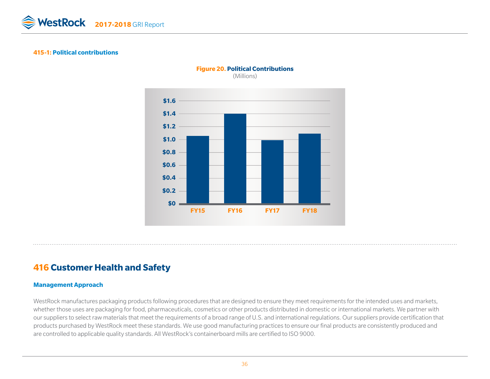

#### **415-1: Political contributions**



#### **Figure 20. Political Contributions**

(Millions)

# **416 Customer Health and Safety**

#### **Management Approach**

WestRock manufactures packaging products following procedures that are designed to ensure they meet requirements for the intended uses and markets, whether those uses are packaging for food, pharmaceuticals, cosmetics or other products distributed in domestic or international markets. We partner with our suppliers to select raw materials that meet the requirements of a broad range of U.S. and international regulations. Our suppliers provide certification that products purchased by WestRock meet these standards. We use good manufacturing practices to ensure our final products are consistently produced and are controlled to applicable quality standards. All WestRock's containerboard mills are certified to ISO 9000.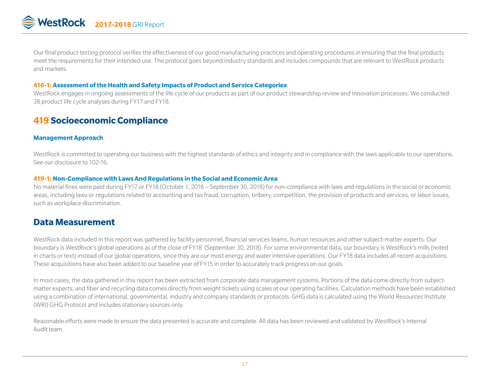Our final product testing protocol verifies the effectiveness of our good manufacturing practices and operating procedures in ensuring that the final products meet the requirements for their intended use. The protocol goes beyond industry standards and includes compounds that are relevant to WestRock products and markets.

#### **416-1: Assessment of the Health and Safety Impacts of Product and Service Categories**

WestRock engages in ongoing assessments of the life cycle of our products as part of our product stewardship review and innovation processes. We conducted 38 product life cycle analyses during FY17 and FY18.

# **419 Socioeconomic Compliance**

#### **Management Approach**

WestRock is committed to operating our business with the highest standards of ethics and integrity and in compliance with the laws applicable to our operations. See our disclosure to 102-16.

#### **419-1: Non-Compliance with Laws And Regulations in the Social and Economic Area**

No material fines were paid during FY17 or FY18 (October 1, 2016 – September 30, 2018) for non-compliance with laws and regulations in the social or economic areas, including laws or regulations related to accounting and tax fraud, corruption, bribery, competition, the provision of products and services, or labor issues, such as workplace discrimination.

# **Data Measurement**

WestRock data included in this report was gathered by facility personnel, financial services teams, human resources and other subject-matter experts. Our boundary is WestRock's global operations as of the close of FY18 (September 30, 2018). For some environmental data, our boundary is WestRock's mills (noted in charts or text) instead of our global operations, since they are our most energy and water intensive operations. Our FY18 data includes all recent acquisitions. These acquisitions have also been added to our baseline year of FY15 in order to accurately track progress on our goals.

In most cases, the data gathered in this report has been extracted from corporate data management systems. Portions of the data come directly from subjectmatter experts, and fiber and recycling data comes directly from weight tickets using scales at our operating facilities. Calculation methods have been established using a combination of international, governmental, industry and company standards or protocols. GHG data is calculated using the World Resources Institute (WRI) GHG Protocol and includes stationary sources only.

Reasonable efforts were made to ensure the data presented is accurate and complete. All data has been reviewed and validated by WestRock's Internal Audit team.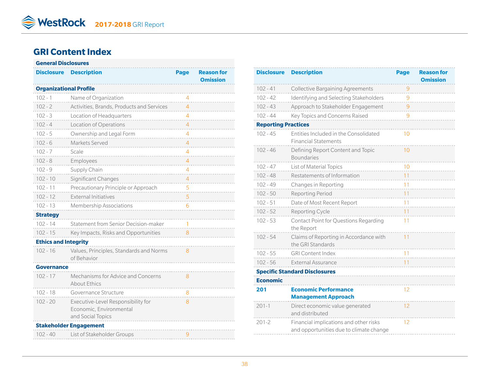# **GRI Content Index**

#### **General Disclosures Disclosure Description Page Reason for Omission Organizational Profile** 102 - 1 Name of Organization 4 102 - 2 Activities, Brands, Products and Services 4 102 - 3 Location of Headquarters 4 4 102 - 4 Location of Operations 4 102 - 5 Ownership and Legal Form 4 102 - 6 Markets Served 4 4 102 - 7 Scale 4 102 - 8 Employees 4 and 500 - 102 - 8 and 500 - 102 - 8 and 500 - 102 - 102 - 102 - 103 - 104 - 105 - 106 - 10 102 - 9 Supply Chain 4 4 302 - 9 Supply Chain 4 4 302 - 9 302 - 9 302 - 9 302 - 9 302 - 9 4 302 - 9 4 302 - 9 4 4 302 - 9 4 302 - 9 4 4 302 - 9 4 4 302 - 9 4 4 502 - 9 402 - 9 402 - 9 402 - 9 402 - 9 402 - 9 402 - 9 402 - 102 - 10 Significant Changes 4 102 - 11 Precautionary Principle or Approach 5 102 - 12 External Initiatives 5 102 - 13 Membership Associations 6 **Strategy** 102 - 14 Statement from Senior Decision-maker 1 102 - 15 Key Impacts, Risks and Opportunities 8 **Ethics and Integrity** 102 - 16 Values, Principles, Standards and Norms 8 of Behavior **Governance** 102 - 17 Mechanisms for Advice and Concerns 8 About Ethics 102 - 18 Governance Structure 8 102 - 20 Executive-Level Responsibility for 8 Economic, Environmental and Social Topics **Stakeholder Engagement** 102 - 40 List of Stakeholder Groups 9

| <b>Disclosure</b>          | <b>Description</b>                                                                | Page | <b>Reason for</b> |
|----------------------------|-----------------------------------------------------------------------------------|------|-------------------|
|                            |                                                                                   |      | <b>Omission</b>   |
| $102 - 41$                 | <b>Collective Bargaining Agreements</b>                                           |      |                   |
| $102 - 42$                 | Identifying and Selecting Stakeholders                                            |      |                   |
| $102 - 43$                 | Approach to Stakeholder Engagement                                                |      |                   |
| $102 - 44$                 | Key Topics and Concerns Raised                                                    |      |                   |
| <b>Reporting Practices</b> |                                                                                   |      |                   |
| $102 - 45$                 | Entities Included in the Consolidated<br><b>Financial Statements</b>              | 10   |                   |
| $102 - 46$                 | Defining Report Content and Topic<br><b>Boundaries</b>                            | 10   |                   |
| $102 - 47$                 | List of Material Topics                                                           | 10   |                   |
| $102 - 48$                 | Restatements of Information                                                       | 11   |                   |
| $102 - 49$                 | Changes in Reporting                                                              | 11   |                   |
| $102 - 50$                 | Reporting Period                                                                  | 11   |                   |
| $102 - 51$                 | Date of Most Recent Report                                                        | 11   |                   |
| $102 - 52$                 | Reporting Cycle                                                                   | 11   |                   |
| $102 - 53$                 | Contact Point for Questions Regarding<br>the Report                               | 11   |                   |
| $102 - 54$                 | Claims of Reporting in Accordance with<br>the GRI Standards                       | 11   |                   |
| $102 - 55$                 | <b>GRI Content Index</b>                                                          | 11   |                   |
| $102 - 56$                 | <b>External Assurance</b>                                                         |      |                   |
|                            | <b>Specific Standard Disclosures</b>                                              |      |                   |
| <b>Economic</b>            |                                                                                   |      |                   |
| 201                        | <b>Economic Performance</b>                                                       | 12   |                   |
|                            | <b>Management Approach</b>                                                        |      |                   |
| $201 - 1$                  | Direct economic value generated<br>and distributed                                | 12   |                   |
| $201 - 2$                  | Financial implications and other risks<br>and opportunities due to climate change | 12   |                   |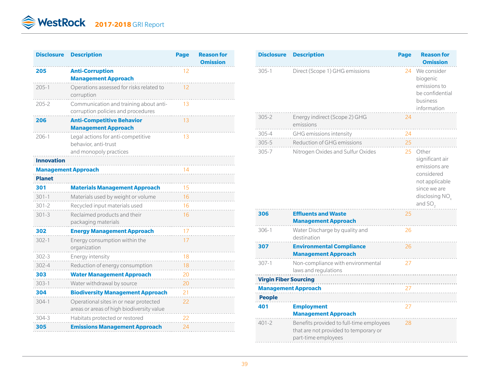| <b>Disclosure</b> | <b>Description</b>                                                                   | <b>Page</b> | <b>Reason for</b><br><b>Omission</b> |
|-------------------|--------------------------------------------------------------------------------------|-------------|--------------------------------------|
| 205               | <b>Anti-Corruption</b><br><b>Management Approach</b>                                 | 12          |                                      |
| $205 - 1$         | Operations assessed for risks related to<br>corruption                               | 12          |                                      |
| $205 - 2$         | Communication and training about anti-<br>corruption policies and procedures         | 13          |                                      |
| 206               | <b>Anti-Competitive Behavior</b><br><b>Management Approach</b>                       | 13          |                                      |
| $206 - 1$         | Legal actions for anti-competitive<br>behavior, anti-trust<br>and monopoly practices | 13          |                                      |
| Innovation        |                                                                                      |             |                                      |
|                   | <b>Management Approach</b>                                                           |             |                                      |
| <b>Planet</b>     |                                                                                      |             |                                      |
| 301               | <b>Materials Management Approach</b>                                                 | 15          |                                      |
| $301 - 1$         | Materials used by weight or volume                                                   | 16          |                                      |
| 301-2             | Recycled input materials used                                                        | 16          |                                      |
| $301 - 3$         | Reclaimed products and their<br>packaging materials                                  | 16          |                                      |
| 302               | <b>Energy Management Approach</b>                                                    | 17          |                                      |
| $302 - 1$         | Energy consumption within the<br>organization                                        | 17          |                                      |
| $302 - 3$         | Energy intensity                                                                     | 18          |                                      |
| 302-4             | Reduction of energy consumption                                                      | 18          |                                      |
| 303               | <b>Water Management Approach</b>                                                     | 20          |                                      |
| $303 - 1$         | Water withdrawal by source                                                           | 20          |                                      |
| 304               | <b>Biodiversity Management Approach</b>                                              | 21          |                                      |
| $304 - 1$         | Operational sites in or near protected<br>areas or areas of high biodiversity value  | 22          |                                      |
| 304-3             | Habitats protected or restored                                                       | 22          |                                      |
| 305               | <b>Emissions Management Approach</b>                                                 | 24          |                                      |

| <b>Disclosure</b>            | <b>Description</b>                                                                                       | Page | <b>Reason for</b><br><b>Omission</b>                                                                                    |
|------------------------------|----------------------------------------------------------------------------------------------------------|------|-------------------------------------------------------------------------------------------------------------------------|
| $305 - 1$                    | Direct (Scope 1) GHG emissions                                                                           | 24   | We consider<br>biogenic<br>emissions to<br>be confidential<br>business<br>information                                   |
| $305 - 2$                    | Energy indirect (Scope 2) GHG<br>emissions                                                               | 24   |                                                                                                                         |
| 305-4                        | GHG emissions intensity                                                                                  | 24   |                                                                                                                         |
| $305 - 5$                    | Reduction of GHG emissions                                                                               | 25   |                                                                                                                         |
| $305 - 7$                    | Nitrogen Oxides and Sulfur Oxides                                                                        | 25   | Other<br>significant air<br>emissions are<br>considered<br>not applicable<br>since we are<br>disclosing NO<br>and $SO2$ |
| 306                          | <b>Effluents and Waste</b><br><b>Management Approach</b>                                                 | 25   |                                                                                                                         |
| $306 - 1$                    | Water Discharge by quality and<br>destination                                                            | 26   |                                                                                                                         |
| 307                          | <b>Environmental Compliance</b><br><b>Management Approach</b>                                            | 26   |                                                                                                                         |
| $307 - 1$                    | Non-compliance with environmental<br>laws and regulations                                                | 27   |                                                                                                                         |
| <b>Virgin Fiber Sourcing</b> |                                                                                                          |      |                                                                                                                         |
| <b>Management Approach</b>   |                                                                                                          | 27   |                                                                                                                         |
| <b>People</b>                |                                                                                                          |      |                                                                                                                         |
| 401                          | <b>Employment</b><br><b>Management Approach</b>                                                          | 27   |                                                                                                                         |
| $401 - 2$                    | Benefits provided to full-time employees<br>that are not provided to temporary or<br>part-time employees | 28   |                                                                                                                         |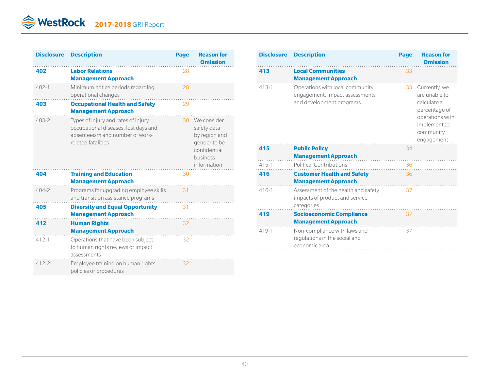| <b>Disclosure</b> | <b>Description</b>                                                                                                                    | Page | <b>Reason for</b><br><b>Omission</b>                                                                   |
|-------------------|---------------------------------------------------------------------------------------------------------------------------------------|------|--------------------------------------------------------------------------------------------------------|
| 402               | <b>Labor Relations</b><br><b>Management Approach</b>                                                                                  | 28   |                                                                                                        |
| $402 - 1$         | Minimum notice periods regarding<br>operational changes                                                                               | 28   |                                                                                                        |
| 403               | <b>Occupational Health and Safety</b><br><b>Management Approach</b>                                                                   | 29   |                                                                                                        |
| $403 - 2$         | Types of injury and rates of injury,<br>occupational diseases, lost days and<br>absenteeism and number of work-<br>related fatalities | 30   | We consider<br>safety data<br>by region and<br>gender to be<br>confidential<br>business<br>information |
| 404               | <b>Training and Education</b><br><b>Management Approach</b>                                                                           | 30   |                                                                                                        |
| $404 - 2$         | Programs for upgrading employee skills<br>and transition assistance programs                                                          | 31   |                                                                                                        |
| 405               | <b>Diversity and Equal Opportunity</b><br><b>Management Approach</b>                                                                  | 31   |                                                                                                        |
| 412               | <b>Human Rights</b><br><b>Management Approach</b>                                                                                     | 32   |                                                                                                        |
| $412 - 1$         | Operations that have been subject<br>to human rights reviews or impact<br>assessments                                                 | 32   |                                                                                                        |
| 412-2             | Employee training on human rights<br>policies or procedures                                                                           | 32   |                                                                                                        |

| <b>Disclosure</b> | <b>Description</b>                                                                            | <b>Page</b> | <b>Reason for</b><br><b>Omission</b>                                                                                           |
|-------------------|-----------------------------------------------------------------------------------------------|-------------|--------------------------------------------------------------------------------------------------------------------------------|
| 413               | <b>Local Communities</b><br><b>Management Approach</b>                                        | 33          |                                                                                                                                |
| $413 - 1$         | Operations with local community<br>engagement, impact assessments<br>and development programs |             | 33 Currently, we<br>are unable to<br>calculate a<br>percentage of<br>operations with<br>implemented<br>community<br>engagement |
| 415               | <b>Public Policy</b><br><b>Management Approach</b>                                            | 34          |                                                                                                                                |
| $415 - 1$         | <b>Political Contributions</b>                                                                | 36          | .                                                                                                                              |
| 416               | <b>Customer Health and Safety</b><br><b>Management Approach</b>                               | 36          | .                                                                                                                              |
| $416 - 1$         | Assessment of the health and safety<br>impacts of product and service<br>categories           | 37          |                                                                                                                                |
| 419               | <b>Socioeconomic Compliance</b><br><b>Management Approach</b>                                 | 37          |                                                                                                                                |
| $419 - 1$         | Non-compliance with laws and<br>regulations in the social and<br>economic area<br>.           | 37          |                                                                                                                                |